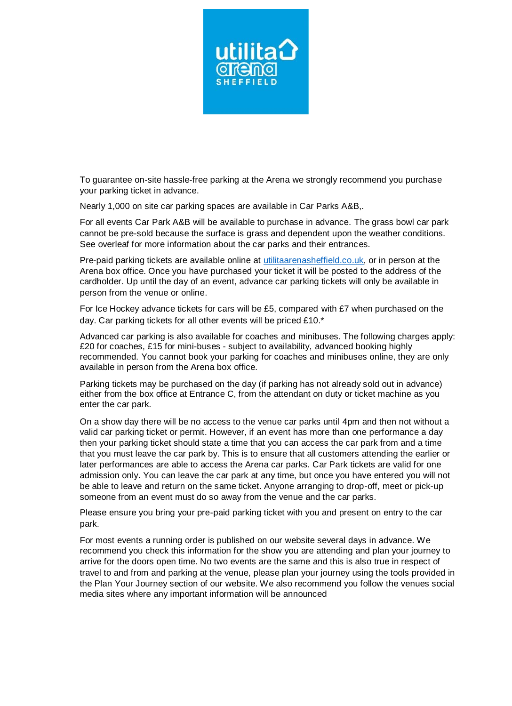

To guarantee on-site hassle-free parking at the Arena we strongly recommend you purchase your parking ticket in advance.

Nearly 1,000 on site car parking spaces are available in Car Parks A&B,.

For all events Car Park A&B will be available to purchase in advance. The grass bowl car park cannot be pre-sold because the surface is grass and dependent upon the weather conditions. See overleaf for more information about the car parks and their entrances.

Pre-paid parking tickets are available online at [utilitaarenasheffield.co.uk,](file:///C:/Users/tom.lawrenson/AppData/Local/Temp/Temp1_pdf2docx.zip/utilitaarenasheffield.co.uk) or in person at the Arena box office. Once you have purchased your ticket it will be posted to the address of the cardholder. Up until the day of an event, advance car parking tickets will only be available in person from the venue or online.

For Ice Hockey advance tickets for cars will be £5, compared with £7 when purchased on the day. Car parking tickets for all other events will be priced £10.\*

Advanced car parking is also available for coaches and minibuses. The following charges apply: £20 for coaches, £15 for mini-buses - subject to availability, advanced booking highly recommended. You cannot book your parking for coaches and minibuses online, they are only available in person from the Arena box office.

Parking tickets may be purchased on the day (if parking has not already sold out in advance) either from the box office at Entrance C, from the attendant on duty or ticket machine as you enter the car park.

On a show day there will be no access to the venue car parks until 4pm and then not without a valid car parking ticket or permit. However, if an event has more than one performance a day then your parking ticket should state a time that you can access the car park from and a time that you must leave the car park by. This is to ensure that all customers attending the earlier or later performances are able to access the Arena car parks. Car Park tickets are valid for one admission only. You can leave the car park at any time, but once you have entered you will not be able to leave and return on the same ticket. Anyone arranging to drop-off, meet or pick-up someone from an event must do so away from the venue and the car parks.

Please ensure you bring your pre-paid parking ticket with you and present on entry to the car park.

For most events a running order is published on our website several days in advance. We recommend you check this information for the show you are attending and plan your journey to arrive for the doors open time. No two events are the same and this is also true in respect of travel to and from and parking at the venue, please plan your journey using the tools provided in the Plan Your Journey section of our website. We also recommend you follow the venues social media sites where any important information will be announced